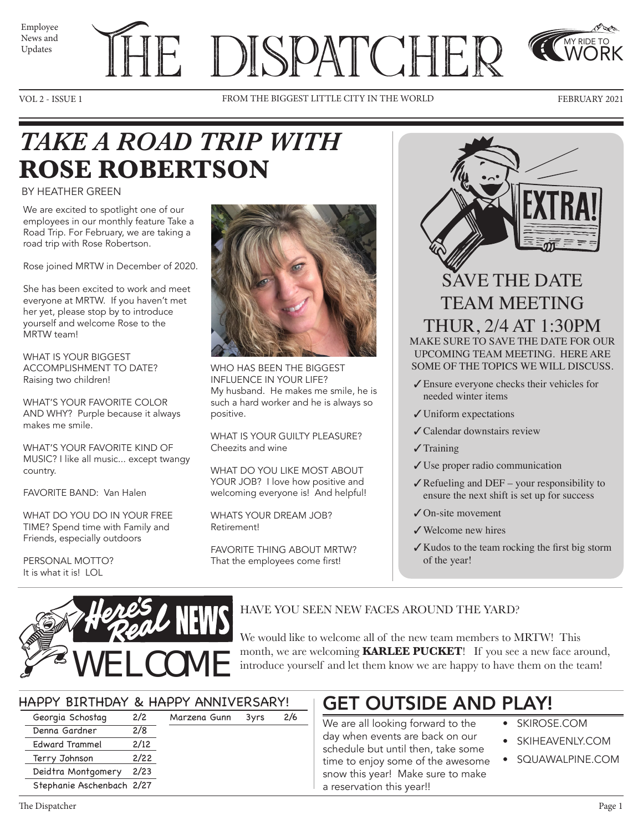News and Updates

# Employee THE DISPATCHER

VOL 2 - ISSUE 1 FROM THE BIGGEST LITTLE CITY IN THE WORLD FEBRUARY 2021



MY RIDE TO WORK

### *TAKE A ROAD TRIP WITH*  **ROSE ROBERTSON**

### BY HEATHER GREEN

We are excited to spotlight one of our employees in our monthly feature Take a Road Trip. For February, we are taking a road trip with Rose Robertson.

Rose joined MRTW in December of 2020.

She has been excited to work and meet everyone at MRTW. If you haven't met her yet, please stop by to introduce yourself and welcome Rose to the MRTW team!

WHAT IS YOUR BIGGEST ACCOMPLISHMENT TO DATE? Raising two children!

WHAT'S YOUR FAVORITE COLOR AND WHY? Purple because it always makes me smile.

WHAT'S YOUR FAVORITE KIND OF MUSIC? I like all music... except twangy country.

FAVORITE BAND: Van Halen

WHAT DO YOU DO IN YOUR FREE TIME? Spend time with Family and Friends, especially outdoors

Terry Johnson 2/22 Deidtra Montgomery 2/23 Stephanie Aschenbach 2/27

PERSONAL MOTTO? It is what it is! LOL



WHO HAS BEEN THE BIGGEST INFLUENCE IN YOUR LIFE? My husband. He makes me smile, he is such a hard worker and he is always so positive.

WHAT IS YOUR GUILTY PLEASURE? Cheezits and wine

WHAT DO YOU LIKE MOST ABOUT YOUR JOB? I love how positive and welcoming everyone is! And helpful!

WHATS YOUR DREAM JOB? Retirement!

FAVORITE THING ABOUT MRTW? That the employees come first!

SAVE THE DATE TEAM MEETING THUR, 2/4 AT 1:30PM MAKE SURE TO SAVE THE DATE FOR OUR UPCOMING TEAM MEETING. HERE ARE SOME OF THE TOPICS WE WILL DISCUSS.

- ✓Ensure everyone checks their vehicles for needed winter items
- ✓Uniform expectations
- ✓Calendar downstairs review
- ✓Training
- ✓Use proper radio communication
- $\angle$  Refueling and DEF your responsibility to ensure the next shift is set up for success
- ✓On-site movement
- ✓Welcome new hires
- ✓Kudos to the team rocking the first big storm of the year!



We would like to welcome all of the new team members to MRTW! This

month, we are welcoming **KARLEE PUCKET**! If you see a new face around, introduce yourself and let them know we are happy to have them on the team!

| HAPPY BIRTHDAY & HAPPY ANNIVERSARY! |                       |      |              |      |     |  |
|-------------------------------------|-----------------------|------|--------------|------|-----|--|
|                                     | Georgia Schostag      | 2/2  | Marzena Gunn | 3vrs | 2/6 |  |
|                                     | Denna Gardner         | 2/8  |              |      |     |  |
|                                     | <b>Edward Trammel</b> | 2/12 |              |      |     |  |

### GET OUTSIDE AND PLAY!

We are all looking forward to the ay when events are back on our schedule but until then, take some time to enjoy some of the awesome snow this year! Make sure to make a reservation this year!!

- SKIROSE.COM
- SKIHEAVENLY.COM
- SQUAWALPINE.COM